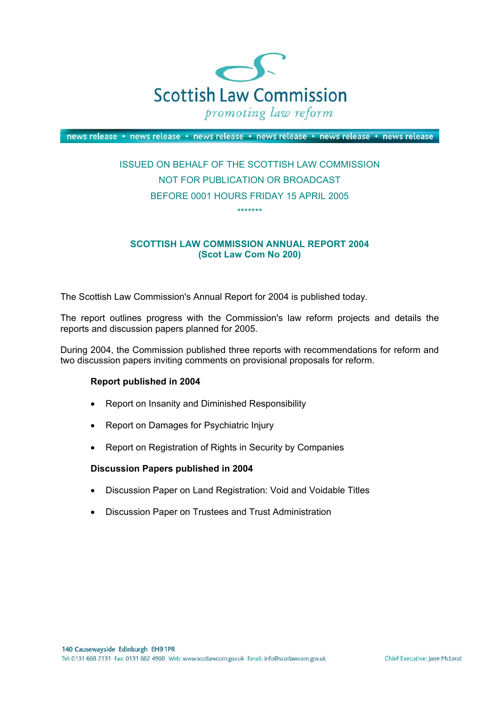

news release · news release · news release · news release · news release · news release

# ISSUED ON BEHALF OF THE SCOTTISH LAW COMMISSION NOT FOR PUBLICATION OR BROADCAST BEFORE 0001 HOURS FRIDAY 15 APRIL 2005 \*\*\*\*\*\*\*

### **SCOTTISH LAW COMMISSION ANNUAL REPORT 2004 (Scot Law Com No 200)**

The Scottish Law Commission's Annual Report for 2004 is published today.

The report outlines progress with the Commission's law reform projects and details the reports and discussion papers planned for 2005.

During 2004, the Commission published three reports with recommendations for reform and two discussion papers inviting comments on provisional proposals for reform.

#### **Report published in 2004**

- Report on Insanity and Diminished Responsibility
- Report on Damages for Psychiatric Injury
- Report on Registration of Rights in Security by Companies

#### **Discussion Papers published in 2004**

- Discussion Paper on Land Registration: Void and Voidable Titles
- Discussion Paper on Trustees and Trust Administration

Chief Executive: Jane McLeod